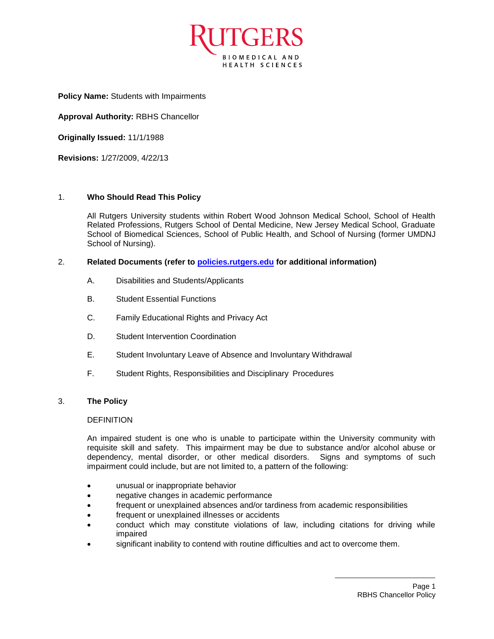

**Policy Name:** Students with Impairments

**Approval Authority:** RBHS Chancellor

**Originally Issued:** 11/1/1988

**Revisions:** 1/27/2009, 4/22/13

## 1. **Who Should Read This Policy**

All Rutgers University students within Robert Wood Johnson Medical School, School of Health Related Professions, Rutgers School of Dental Medicine, New Jersey Medical School, Graduate School of Biomedical Sciences, School of Public Health, and School of Nursing (former UMDNJ School of Nursing).

## 2. **Related Documents (refer to [policies.rutgers.edu](file:///C:/Users/rsedlackpr001/Documents/Rutgers/Policies/RBHS%20Policies/policies.rutgers.edu) for additional information)**

- A. Disabilities and Students/Applicants
- B. Student Essential Functions
- C. Family Educational Rights and Privacy Act
- D. Student Intervention Coordination
- E. Student Involuntary Leave of Absence and Involuntary Withdrawal
- F. Student Rights, Responsibilities and Disciplinary Procedures

### 3. **The Policy**

### DEFINITION

An impaired student is one who is unable to participate within the University community with requisite skill and safety. This impairment may be due to substance and/or alcohol abuse or dependency, mental disorder, or other medical disorders. Signs and symptoms of such impairment could include, but are not limited to, a pattern of the following:

- unusual or inappropriate behavior
- negative changes in academic performance
- frequent or unexplained absences and/or tardiness from academic responsibilities
- frequent or unexplained illnesses or accidents
- conduct which may constitute violations of law, including citations for driving while impaired
- significant inability to contend with routine difficulties and act to overcome them.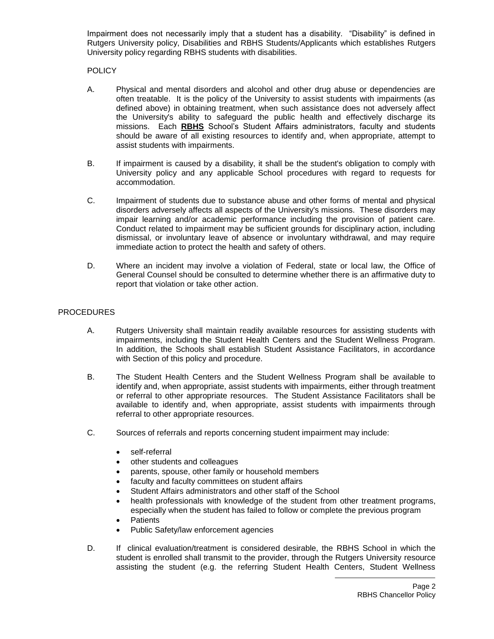Impairment does not necessarily imply that a student has a disability. "Disability" is defined in Rutgers University policy, Disabilities and RBHS Students/Applicants which establishes Rutgers University policy regarding RBHS students with disabilities.

# POLICY

- A. Physical and mental disorders and alcohol and other drug abuse or dependencies are often treatable. It is the policy of the University to assist students with impairments (as defined above) in obtaining treatment, when such assistance does not adversely affect the University's ability to safeguard the public health and effectively discharge its missions. Each **RBHS** School's Student Affairs administrators, faculty and students should be aware of all existing resources to identify and, when appropriate, attempt to assist students with impairments.
- B. If impairment is caused by a disability, it shall be the student's obligation to comply with University policy and any applicable School procedures with regard to requests for accommodation.
- C. Impairment of students due to substance abuse and other forms of mental and physical disorders adversely affects all aspects of the University's missions. These disorders may impair learning and/or academic performance including the provision of patient care. Conduct related to impairment may be sufficient grounds for disciplinary action, including dismissal, or involuntary leave of absence or involuntary withdrawal, and may require immediate action to protect the health and safety of others.
- D. Where an incident may involve a violation of Federal, state or local law, the Office of General Counsel should be consulted to determine whether there is an affirmative duty to report that violation or take other action.

## PROCEDURES

- A. Rutgers University shall maintain readily available resources for assisting students with impairments, including the Student Health Centers and the Student Wellness Program. In addition, the Schools shall establish Student Assistance Facilitators, in accordance with Section of this policy and procedure.
- B. The Student Health Centers and the Student Wellness Program shall be available to identify and, when appropriate, assist students with impairments, either through treatment or referral to other appropriate resources. The Student Assistance Facilitators shall be available to identify and, when appropriate, assist students with impairments through referral to other appropriate resources.
- C. Sources of referrals and reports concerning student impairment may include:
	- self-referral
	- other students and colleagues
	- parents, spouse, other family or household members
	- faculty and faculty committees on student affairs
	- Student Affairs administrators and other staff of the School
	- health professionals with knowledge of the student from other treatment programs, especially when the student has failed to follow or complete the previous program
	- **Patients**
	- Public Safety/law enforcement agencies
- D. If clinical evaluation/treatment is considered desirable, the RBHS School in which the student is enrolled shall transmit to the provider, through the Rutgers University resource assisting the student (e.g. the referring Student Health Centers, Student Wellness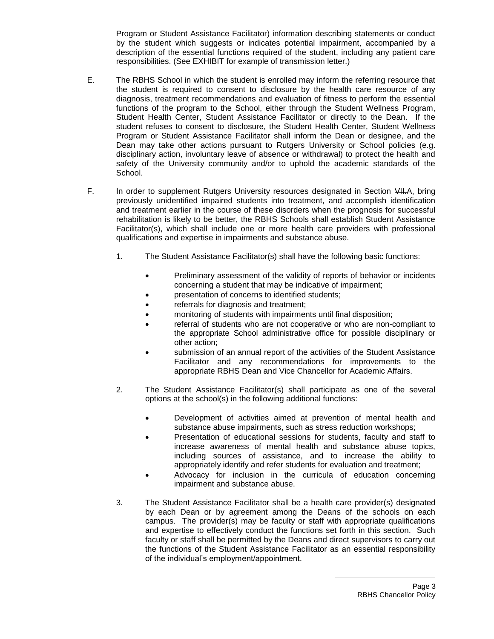Program or Student Assistance Facilitator) information describing statements or conduct by the student which suggests or indicates potential impairment, accompanied by a description of the essential functions required of the student, including any patient care responsibilities. (See EXHIBIT for example of transmission letter.)

- E. The RBHS School in which the student is enrolled may inform the referring resource that the student is required to consent to disclosure by the health care resource of any diagnosis, treatment recommendations and evaluation of fitness to perform the essential functions of the program to the School, either through the Student Wellness Program, Student Health Center, Student Assistance Facilitator or directly to the Dean. If the student refuses to consent to disclosure, the Student Health Center, Student Wellness Program or Student Assistance Facilitator shall inform the Dean or designee, and the Dean may take other actions pursuant to Rutgers University or School policies (e.g. disciplinary action, involuntary leave of absence or withdrawal) to protect the health and safety of the University community and/or to uphold the academic standards of the School.
- F. In order to supplement Rutgers University resources designated in Section VII.A, bring previously unidentified impaired students into treatment, and accomplish identification and treatment earlier in the course of these disorders when the prognosis for successful rehabilitation is likely to be better, the RBHS Schools shall establish Student Assistance Facilitator(s), which shall include one or more health care providers with professional qualifications and expertise in impairments and substance abuse.
	- 1. The Student Assistance Facilitator(s) shall have the following basic functions:
		- Preliminary assessment of the validity of reports of behavior or incidents concerning a student that may be indicative of impairment;
		- presentation of concerns to identified students;
		- referrals for diagnosis and treatment;
		- monitoring of students with impairments until final disposition;
		- referral of students who are not cooperative or who are non-compliant to the appropriate School administrative office for possible disciplinary or other action;
		- submission of an annual report of the activities of the Student Assistance Facilitator and any recommendations for improvements to the appropriate RBHS Dean and Vice Chancellor for Academic Affairs.
	- 2. The Student Assistance Facilitator(s) shall participate as one of the several options at the school(s) in the following additional functions:
		- Development of activities aimed at prevention of mental health and substance abuse impairments, such as stress reduction workshops;
		- Presentation of educational sessions for students, faculty and staff to increase awareness of mental health and substance abuse topics, including sources of assistance, and to increase the ability to appropriately identify and refer students for evaluation and treatment;
		- Advocacy for inclusion in the curricula of education concerning impairment and substance abuse.
	- 3. The Student Assistance Facilitator shall be a health care provider(s) designated by each Dean or by agreement among the Deans of the schools on each campus. The provider(s) may be faculty or staff with appropriate qualifications and expertise to effectively conduct the functions set forth in this section. Such faculty or staff shall be permitted by the Deans and direct supervisors to carry out the functions of the Student Assistance Facilitator as an essential responsibility of the individual's employment/appointment.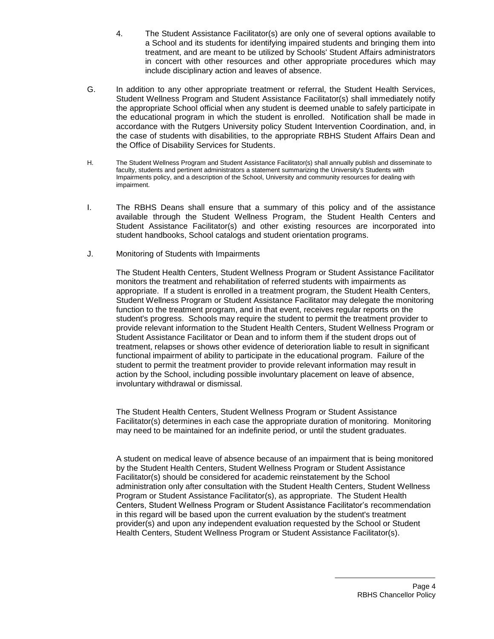4. The Student Assistance Facilitator(s) are only one of several options available to a School and its students for identifying impaired students and bringing them into treatment, and are meant to be utilized by Schools' Student Affairs administrators in concert with other resources and other appropriate procedures which may include disciplinary action and leaves of absence.

- G. In addition to any other appropriate treatment or referral, the Student Health Services, Student Wellness Program and Student Assistance Facilitator(s) shall immediately notify the appropriate School official when any student is deemed unable to safely participate in the educational program in which the student is enrolled. Notification shall be made in accordance with the Rutgers University policy Student Intervention Coordination, and, in the case of students with disabilities, to the appropriate RBHS Student Affairs Dean and the Office of Disability Services for Students.
- H. The Student Wellness Program and Student Assistance Facilitator(s) shall annually publish and disseminate to faculty, students and pertinent administrators a statement summarizing the University's Students with Impairments policy, and a description of the School, University and community resources for dealing with impairment.
- I. The RBHS Deans shall ensure that a summary of this policy and of the assistance available through the Student Wellness Program, the Student Health Centers and Student Assistance Facilitator(s) and other existing resources are incorporated into student handbooks, School catalogs and student orientation programs.
- J. Monitoring of Students with Impairments

The Student Health Centers, Student Wellness Program or Student Assistance Facilitator monitors the treatment and rehabilitation of referred students with impairments as appropriate. If a student is enrolled in a treatment program, the Student Health Centers, Student Wellness Program or Student Assistance Facilitator may delegate the monitoring function to the treatment program, and in that event, receives regular reports on the student's progress. Schools may require the student to permit the treatment provider to provide relevant information to the Student Health Centers, Student Wellness Program or Student Assistance Facilitator or Dean and to inform them if the student drops out of treatment, relapses or shows other evidence of deterioration liable to result in significant functional impairment of ability to participate in the educational program. Failure of the student to permit the treatment provider to provide relevant information may result in action by the School, including possible involuntary placement on leave of absence, involuntary withdrawal or dismissal.

The Student Health Centers, Student Wellness Program or Student Assistance Facilitator(s) determines in each case the appropriate duration of monitoring. Monitoring may need to be maintained for an indefinite period, or until the student graduates.

A student on medical leave of absence because of an impairment that is being monitored by the Student Health Centers, Student Wellness Program or Student Assistance Facilitator(s) should be considered for academic reinstatement by the School administration only after consultation with the Student Health Centers, Student Wellness Program or Student Assistance Facilitator(s), as appropriate. The Student Health Centers, Student Wellness Program or Student Assistance Facilitator's recommendation in this regard will be based upon the current evaluation by the student's treatment provider(s) and upon any independent evaluation requested by the School or Student Health Centers, Student Wellness Program or Student Assistance Facilitator(s).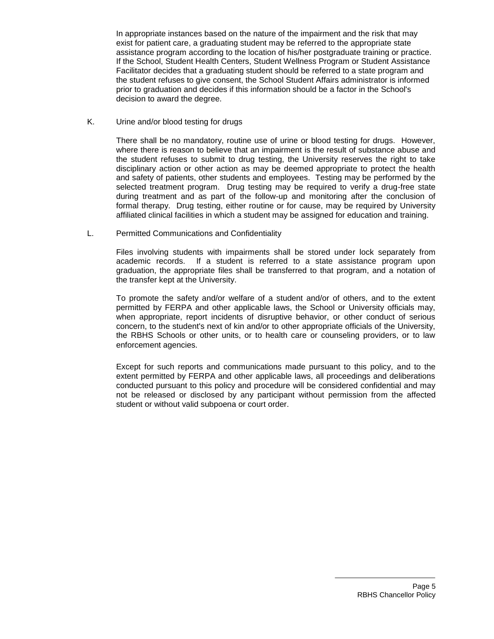In appropriate instances based on the nature of the impairment and the risk that may exist for patient care, a graduating student may be referred to the appropriate state assistance program according to the location of his/her postgraduate training or practice. If the School, Student Health Centers, Student Wellness Program or Student Assistance Facilitator decides that a graduating student should be referred to a state program and the student refuses to give consent, the School Student Affairs administrator is informed prior to graduation and decides if this information should be a factor in the School's decision to award the degree.

K. Urine and/or blood testing for drugs

There shall be no mandatory, routine use of urine or blood testing for drugs. However, where there is reason to believe that an impairment is the result of substance abuse and the student refuses to submit to drug testing, the University reserves the right to take disciplinary action or other action as may be deemed appropriate to protect the health and safety of patients, other students and employees. Testing may be performed by the selected treatment program. Drug testing may be required to verify a drug-free state during treatment and as part of the follow-up and monitoring after the conclusion of formal therapy. Drug testing, either routine or for cause, may be required by University affiliated clinical facilities in which a student may be assigned for education and training.

L. Permitted Communications and Confidentiality

Files involving students with impairments shall be stored under lock separately from academic records. If a student is referred to a state assistance program upon graduation, the appropriate files shall be transferred to that program, and a notation of the transfer kept at the University.

To promote the safety and/or welfare of a student and/or of others, and to the extent permitted by FERPA and other applicable laws, the School or University officials may, when appropriate, report incidents of disruptive behavior, or other conduct of serious concern, to the student's next of kin and/or to other appropriate officials of the University, the RBHS Schools or other units, or to health care or counseling providers, or to law enforcement agencies.

Except for such reports and communications made pursuant to this policy, and to the extent permitted by FERPA and other applicable laws, all proceedings and deliberations conducted pursuant to this policy and procedure will be considered confidential and may not be released or disclosed by any participant without permission from the affected student or without valid subpoena or court order.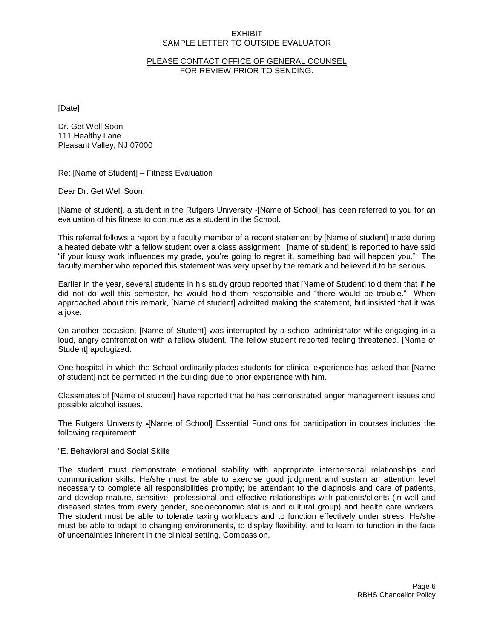### **EXHIBIT** SAMPLE LETTER TO OUTSIDE EVALUATOR

## PLEASE CONTACT OFFICE OF GENERAL COUNSEL FOR REVIEW PRIOR TO SENDING**.**

[Date]

Dr. Get Well Soon 111 Healthy Lane Pleasant Valley, NJ 07000

Re: [Name of Student] – Fitness Evaluation

Dear Dr. Get Well Soon:

[Name of student], a student in the Rutgers University -[Name of School] has been referred to you for an evaluation of his fitness to continue as a student in the School.

This referral follows a report by a faculty member of a recent statement by [Name of student] made during a heated debate with a fellow student over a class assignment. [name of student] is reported to have said "if your lousy work influences my grade, you're going to regret it, something bad will happen you." The faculty member who reported this statement was very upset by the remark and believed it to be serious.

Earlier in the year, several students in his study group reported that [Name of Student] told them that if he did not do well this semester, he would hold them responsible and "there would be trouble." When approached about this remark, [Name of student] admitted making the statement, but insisted that it was a joke.

On another occasion, [Name of Student] was interrupted by a school administrator while engaging in a loud, angry confrontation with a fellow student. The fellow student reported feeling threatened. [Name of Student] apologized.

One hospital in which the School ordinarily places students for clinical experience has asked that [Name of student] not be permitted in the building due to prior experience with him.

Classmates of [Name of student] have reported that he has demonstrated anger management issues and possible alcohol issues.

The Rutgers University -[Name of School] Essential Functions for participation in courses includes the following requirement:

### "E. Behavioral and Social Skills

The student must demonstrate emotional stability with appropriate interpersonal relationships and communication skills. He/she must be able to exercise good judgment and sustain an attention level necessary to complete all responsibilities promptly; be attendant to the diagnosis and care of patients, and develop mature, sensitive, professional and effective relationships with patients/clients (in well and diseased states from every gender, socioeconomic status and cultural group) and health care workers. The student must be able to tolerate taxing workloads and to function effectively under stress. He/she must be able to adapt to changing environments, to display flexibility, and to learn to function in the face of uncertainties inherent in the clinical setting. Compassion,